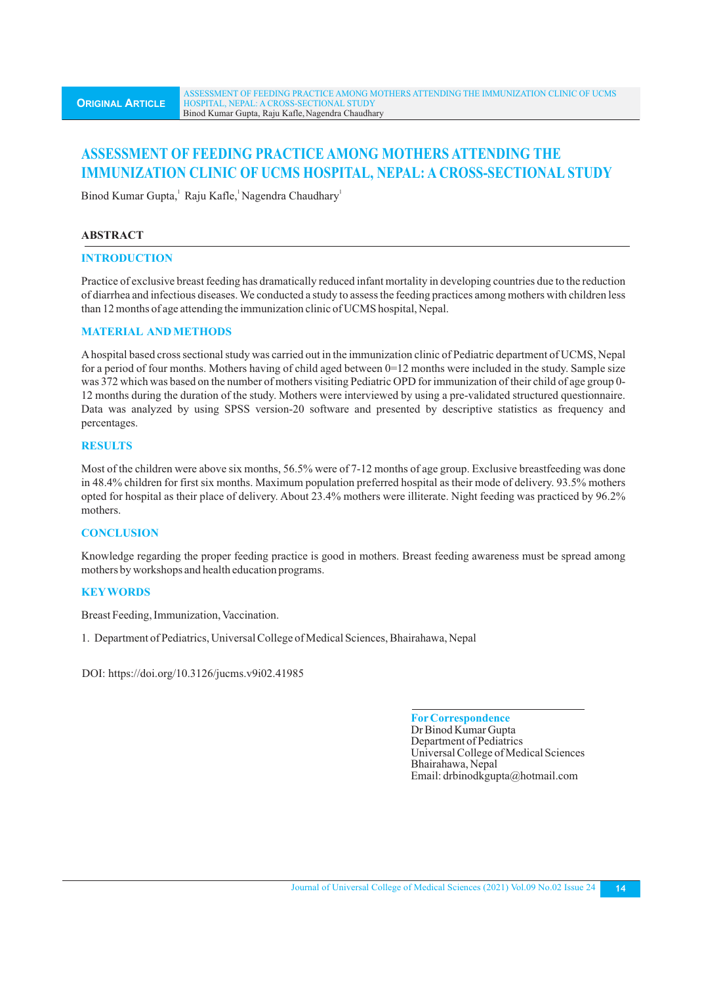# **ASSESSMENT OF FEEDING PRACTICE AMONG MOTHERS ATTENDING THE IMMUNIZATION CLINIC OF UCMS HOSPITAL, NEPAL: A CROSS-SECTIONAL STUDY**

Binod Kumar Gupta, Raju Kafle, Nagendra Chaudhary

# **ABSTRACT**

# **INTRODUCTION**

Practice of exclusive breast feeding has dramatically reduced infant mortality in developing countries due to the reduction of diarrhea and infectious diseases. We conducted a study to assess the feeding practices among mothers with children less than 12 months of age attending the immunization clinic of UCMS hospital, Nepal.

# **MATERIAL AND METHODS**

Ahospital based cross sectional study was carried out in the immunization clinic of Pediatric department of UCMS, Nepal for a period of four months. Mothers having of child aged between 0=12 months were included in the study. Sample size was 372 which was based on the number of mothers visiting Pediatric OPD for immunization of their child of age group 0- 12 months during the duration of the study. Mothers were interviewed by using a pre-validated structured questionnaire. Data was analyzed by using SPSS version-20 software and presented by descriptive statistics as frequency and percentages.

# **RESULTS**

Most of the children were above six months, 56.5% were of 7-12 months of age group. Exclusive breastfeeding was done in 48.4% children for first six months. Maximum population preferred hospital as their mode of delivery. 93.5% mothers opted for hospital as their place of delivery. About 23.4% mothers were illiterate. Night feeding was practiced by 96.2% mothers.

# **CONCLUSION**

Knowledge regarding the proper feeding practice is good in mothers. Breast feeding awareness must be spread among mothers by workshops and health education programs.

# **KEYWORDS**

Breast Feeding, Immunization, Vaccination.

1. Department of Pediatrics, Universal College of Medical Sciences, Bhairahawa, Nepal

DOI: https://doi.org/10.3126/jucms.v9i02.41985

**ForCorrespondence** Dr Binod Kumar Gupta Department of Pediatrics Universal College of Medical Sciences Bhairahawa, Nepal Email: drbinodkgupta@hotmail.com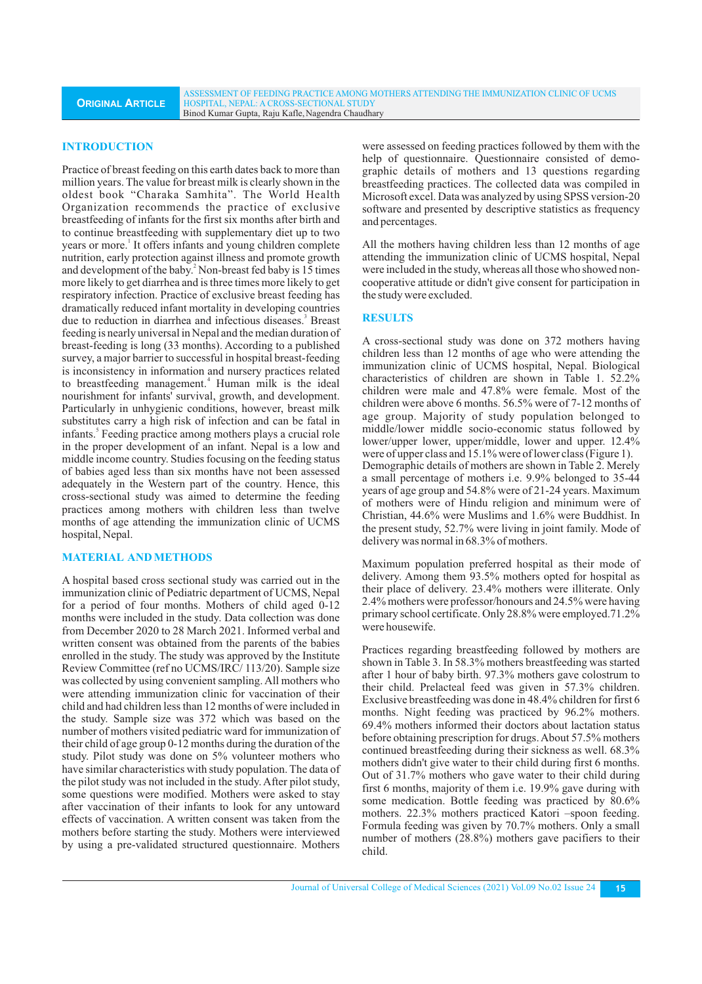ASSESSMENT OF FEEDING PRACTICE AMONG MOTHERS ATTENDING THE IMMUNIZATION CLINIC OF UCMS HOSPITAL, NEPAL: A CROSS-SECTIONAL STUDY Binod Kumar Gupta, Raju Kafle,Nagendra Chaudhary

### **INTRODUCTION**

Practice of breast feeding on this earth dates back to more than million years. The value for breast milk is clearly shown in the oldest book "Charaka Samhita". The World Health Organization recommends the practice of exclusive breastfeeding of infants for the first six months after birth and to continue breastfeeding with supplementary diet up to two years or more.<sup>1</sup> It offers infants and young children complete nutrition, early protection against illness and promote growth and development of the baby.<sup>2</sup> Non-breast fed baby is 15 times more likely to get diarrhea and is three times more likely to get respiratory infection. Practice of exclusive breast feeding has dramatically reduced infant mortality in developing countries due to reduction in diarrhea and infectious diseases.<sup>3</sup> Breast feeding is nearly universal in Nepal and the median duration of breast-feeding is long (33 months). According to a published survey, a major barrier to successful in hospital breast-feeding is inconsistency in information and nursery practices related to breastfeeding management.<sup>4</sup> Human milk is the ideal nourishment for infants' survival, growth, and development. Particularly in unhygienic conditions, however, breast milk substitutes carry a high risk of infection and can be fatal in infants.<sup>5</sup> Feeding practice among mothers plays a crucial role in the proper development of an infant. Nepal is a low and middle income country. Studies focusing on the feeding status of babies aged less than six months have not been assessed adequately in the Western part of the country. Hence, this cross-sectional study was aimed to determine the feeding practices among mothers with children less than twelve months of age attending the immunization clinic of UCMS hospital, Nepal.

### **MATERIAL AND METHODS**

A hospital based cross sectional study was carried out in the immunization clinic of Pediatric department of UCMS, Nepal for a period of four months. Mothers of child aged 0-12 months were included in the study. Data collection was done from December 2020 to 28 March 2021. Informed verbal and written consent was obtained from the parents of the babies enrolled in the study. The study was approved by the Institute Review Committee (ref no UCMS/IRC/ 113/20). Sample size was collected by using convenient sampling. All mothers who were attending immunization clinic for vaccination of their child and had children less than 12 months of were included in the study. Sample size was 372 which was based on the number of mothers visited pediatric ward for immunization of their child of age group 0-12 months during the duration of the study. Pilot study was done on 5% volunteer mothers who have similar characteristics with study population. The data of the pilot study was not included in the study. After pilot study, some questions were modified. Mothers were asked to stay after vaccination of their infants to look for any untoward effects of vaccination. A written consent was taken from the mothers before starting the study. Mothers were interviewed by using a pre-validated structured questionnaire. Mothers

were assessed on feeding practices followed by them with the help of questionnaire. Questionnaire consisted of demographic details of mothers and 13 questions regarding breastfeeding practices. The collected data was compiled in Microsoft excel. Data was analyzed by using SPSS version-20 software and presented by descriptive statistics as frequency and percentages.

All the mothers having children less than 12 months of age attending the immunization clinic of UCMS hospital, Nepal were included in the study, whereas all those who showed noncooperative attitude or didn't give consent for participation in the study were excluded.

#### **RESULTS**

A cross-sectional study was done on 372 mothers having children less than 12 months of age who were attending the immunization clinic of UCMS hospital, Nepal. Biological characteristics of children are shown in Table 1. 52.2% children were male and 47.8% were female. Most of the children were above 6 months. 56.5% were of 7-12 months of age group. Majority of study population belonged to middle/lower middle socio-economic status followed by lower/upper lower, upper/middle, lower and upper. 12.4% were of upper class and 15.1% were of lower class (Figure 1). Demographic details of mothers are shown in Table 2. Merely a small percentage of mothers i.e. 9.9% belonged to 35-44 years of age group and 54.8% were of 21-24 years. Maximum of mothers were of Hindu religion and minimum were of Christian, 44.6% were Muslims and 1.6% were Buddhist. In the present study, 52.7% were living in joint family. Mode of delivery was normal in 68.3% of mothers.

Maximum population preferred hospital as their mode of delivery. Among them 93.5% mothers opted for hospital as their place of delivery. 23.4% mothers were illiterate. Only 2.4% mothers were professor/honours and 24.5% were having primary school certificate. Only 28.8% were employed.71.2% were housewife.

Practices regarding breastfeeding followed by mothers are shown in Table 3. In 58.3% mothers breastfeeding was started after 1 hour of baby birth. 97.3% mothers gave colostrum to their child. Prelacteal feed was given in 57.3% children. Exclusive breastfeeding was done in 48.4% children for first 6 months. Night feeding was practiced by 96.2% mothers. 69.4% mothers informed their doctors about lactation status before obtaining prescription for drugs. About 57.5% mothers continued breastfeeding during their sickness as well. 68.3% mothers didn't give water to their child during first 6 months. Out of 31.7% mothers who gave water to their child during first 6 months, majority of them i.e. 19.9% gave during with some medication. Bottle feeding was practiced by 80.6% mothers. 22.3% mothers practiced Katori –spoon feeding. Formula feeding was given by 70.7% mothers. Only a small number of mothers (28.8%) mothers gave pacifiers to their child.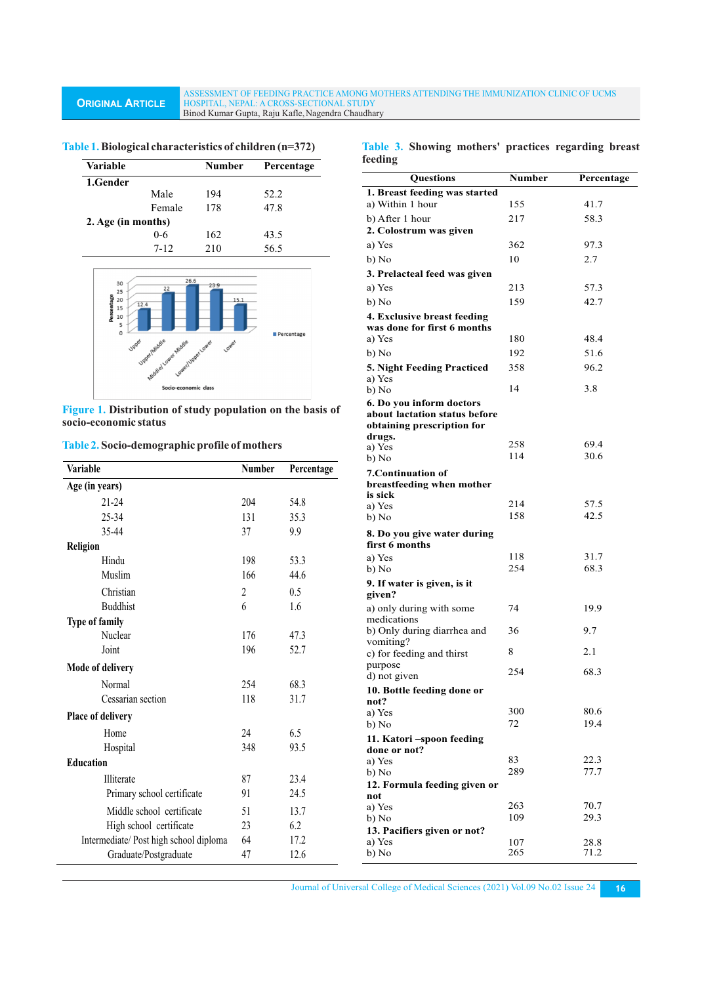ASSESSMENT OF FEEDING PRACTICE AMONG MOTHERS ATTENDING THE IMMUNIZATION CLINIC OF UCMS HOSPITAL, NEPAL: A CROSS-SECTIONAL STUDY Binod Kumar Gupta, Raju Kafle,Nagendra Chaudhary

| <b>Variable</b>                                                     |                                                                       | <b>Number</b>         | Percentage |
|---------------------------------------------------------------------|-----------------------------------------------------------------------|-----------------------|------------|
| 1.Gender                                                            |                                                                       |                       |            |
|                                                                     | Male                                                                  | 194                   | 52.2       |
|                                                                     | Female                                                                | 178                   | 47.8       |
| 2. Age (in months)                                                  |                                                                       |                       |            |
|                                                                     | $0 - 6$                                                               | 162                   | 43.5       |
|                                                                     | $7 - 12$                                                              | 210                   | 56.5       |
|                                                                     |                                                                       |                       |            |
| 30<br>25<br>Percentage<br>20<br>15<br>10<br>5<br>0<br><b>J</b> pper | 26.6<br>22<br>12.4<br>Ustrational Using theologie<br>Lower/Jupectower | 23.9<br>15.1<br>Lower | Percentage |

**Table 1.Biological characteristics of children (n=372)**

**Figure 1. Distribution of study population on the basis of socio-economic status**

Socio-economic class

|  | Table 2. Socio-demographic profile of mothers |  |  |  |
|--|-----------------------------------------------|--|--|--|
|--|-----------------------------------------------|--|--|--|

| <b>Variable</b>                        | <b>Number</b>  | Percentage | b) No<br><b>7. Continuation of</b>  |
|----------------------------------------|----------------|------------|-------------------------------------|
| Age (in years)                         |                |            | breastfeeding whe                   |
| $21 - 24$                              | 204            | 54.8       | is sick<br>a) Yes                   |
| $25 - 34$                              | 131            | 35.3       | b) No                               |
| 35-44                                  | 37             | 9.9        | 8. Do you give wat                  |
| <b>Religion</b>                        |                |            | first 6 months                      |
| Hindu                                  | 198            | 53.3       | a) Yes                              |
| Muslim                                 | 166            | 44.6       | b) No                               |
| Christian                              | $\overline{2}$ | 0.5        | 9. If water is given<br>given?      |
| <b>Buddhist</b>                        | 6              | 1.6        | a) only during with                 |
| <b>Type of family</b>                  |                |            | medications                         |
| Nuclear                                | 176            | 47.3       | b) Only during diar                 |
| Joint                                  | 196            | 52.7       | vomiting?<br>c) for feeding and the |
| <b>Mode of delivery</b>                |                |            | purpose                             |
| Normal                                 | 254            | 68.3       | d) not given                        |
| Cessarian section                      | 118            | 31.7       | 10. Bottle feeding                  |
|                                        |                |            | not?<br>a) Yes                      |
| <b>Place of delivery</b>               |                |            | b) No                               |
| Home                                   | 24             | 6.5        | 11. Katori –spoon                   |
| Hospital                               | 348            | 93.5       | done or not?                        |
| <b>Education</b>                       |                |            | a) Yes                              |
| Illiterate                             | 87             | 23.4       | b) No<br>12. Formula feedin         |
| Primary school certificate             | 91             | 24.5       | not                                 |
| Middle school certificate              | 51             | 13.7       | a) Yes                              |
| High school certificate                | 23             | 6.2        | b) No                               |
| Intermediate/ Post high school diploma | 64             | 17.2       | 13. Pacifiers given<br>a) Yes       |
| Graduate/Postgraduate                  | 47             | 12.6       | b) No                               |

|         |  | Table 3. Showing mothers' practices regarding breast |  |
|---------|--|------------------------------------------------------|--|
| feeding |  |                                                      |  |

| <b>Questions</b>                                       | Number | Percentage   |
|--------------------------------------------------------|--------|--------------|
| 1. Breast feeding was started<br>a) Within 1 hour      | 155    |              |
|                                                        |        | 41.7<br>58.3 |
| b) After 1 hour<br>2. Colostrum was given              | 217    |              |
|                                                        | 362    |              |
| a) Yes                                                 |        | 97.3         |
| b) No                                                  | 10     | 2.7          |
| 3. Prelacteal feed was given                           |        |              |
| a) Yes                                                 | 213    | 57.3         |
| b) No                                                  | 159    | 42.7         |
| 4. Exclusive breast feeding                            |        |              |
| was done for first 6 months                            |        |              |
| a) Yes                                                 | 180    | 48.4         |
| b) No                                                  | 192    | 51.6         |
| 5. Night Feeding Practiced                             | 358    | 96.2         |
| a) Yes<br>b) No                                        | 14     | 3.8          |
| 6. Do you inform doctors                               |        |              |
| about lactation status before                          |        |              |
| obtaining prescription for                             |        |              |
| drugs.                                                 | 258    | 69.4         |
| a) Yes<br>b) No                                        | 114    | 30.6         |
|                                                        |        |              |
| <b>7. Continuation of</b><br>breastfeeding when mother |        |              |
| is sick                                                |        |              |
| a) Yes                                                 | 214    | 57.5         |
| b) No                                                  | 158    | 42.5         |
| 8. Do you give water during                            |        |              |
| first 6 months                                         |        |              |
| a) Yes                                                 | 118    | 31.7         |
| b) No                                                  | 254    | 68.3         |
| 9. If water is given, is it<br>given?                  |        |              |
| a) only during with some                               | 74     |              |
| medications                                            |        | 19.9         |
| b) Only during diarrhea and                            | 36     | 9.7          |
| vomiting?                                              |        |              |
| c) for feeding and thirst                              | 8      | 2.1          |
| purpose                                                | 254    | 68.3         |
| d) not given                                           |        |              |
| 10. Bottle feeding done or<br>not?                     |        |              |
| a) Yes                                                 | 300    | 80.6         |
| b) No                                                  | 72     | 19.4         |
| 11. Katori – spoon feeding                             |        |              |
| done or not?                                           |        |              |
| a) Yes                                                 | 83     | 22.3         |
| b) No                                                  | 289    | 77.7         |
| 12. Formula feeding given or<br>not                    |        |              |
| a) Yes                                                 | 263    | 70.7         |
| b) No                                                  | 109    | 29.3         |
| 13. Pacifiers given or not?                            |        |              |
| a) Yes                                                 | 107    | 28.8         |
| b) No                                                  | 265    | 71.2         |

Journal of Universal College of Medical Sciences (2021) Vol.09 No.02 Issue 24 **16**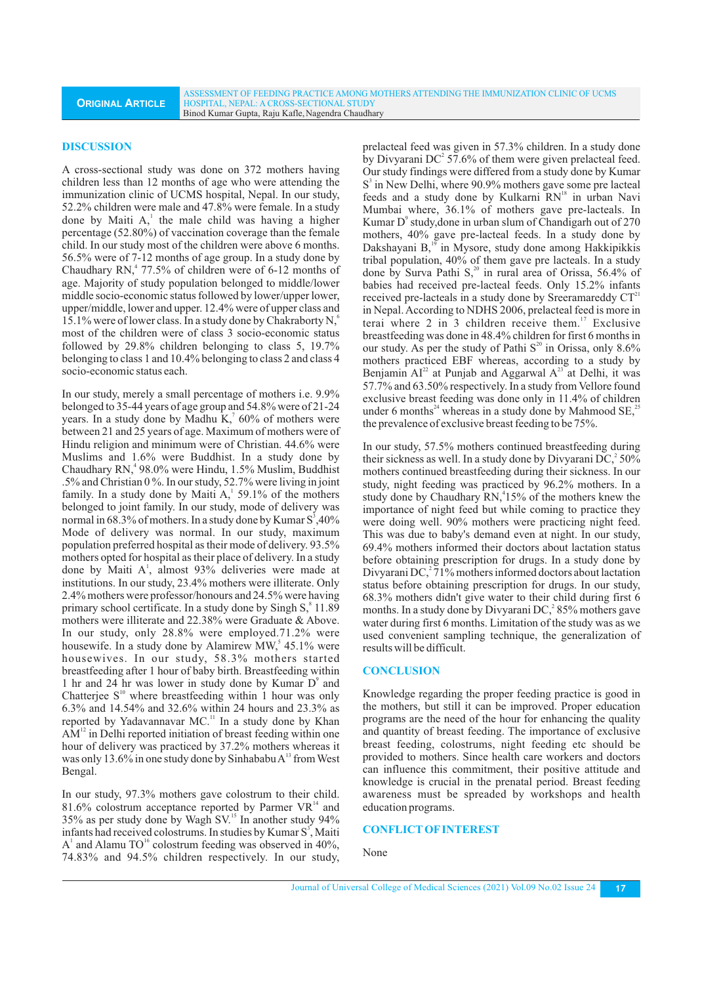ASSESSMENT OF FEEDING PRACTICE AMONG MOTHERS ATTENDING THE IMMUNIZATION CLINIC OF UCMS HOSPITAL, NEPAL: A CROSS-SECTIONAL STUDY Binod Kumar Gupta, Raju Kafle,Nagendra Chaudhary

#### **DISCUSSION**

A cross-sectional study was done on 372 mothers having children less than 12 months of age who were attending the immunization clinic of UCMS hospital, Nepal. In our study, 52.2% children were male and 47.8% were female. In a study done by Maiti  $A<sub>i</sub><sup>1</sup>$  the male child was having a higher percentage (52.80%) of vaccination coverage than the female child. In our study most of the children were above 6 months. 56.5% were of 7-12 months of age group. In a study done by Chaudhary  $RN<sub>1</sub><sup>4</sup> 77.5%$  of children were of 6-12 months of age. Majority of study population belonged to middle/lower middle socio-economic status followed by lower/upper lower, upper/middle, lower and upper. 12.4% were of upper class and 15.1% were of lower class. In a study done by Chakraborty N, most of the children were of class 3 socio-economic status followed by 29.8% children belonging to class 5, 19.7% belonging to class 1 and 10.4% belonging to class 2 and class 4 socio-economic status each.

In our study, merely a small percentage of mothers i.e. 9.9% belonged to 35-44 years of age group and 54.8% were of 21-24 years. In a study done by Madhu  $K<sub>1</sub>$ <sup>7</sup> 60% of mothers were between 21 and 25 years of age. Maximum of mothers were of Hindu religion and minimum were of Christian. 44.6% were Muslims and 1.6% were Buddhist. In a study done by <sup>4</sup> Chaudhary RN, 98.0% were Hindu, 1.5% Muslim, Buddhist .5% and Christian 0 %. In our study, 52.7% were living in joint family. In a study done by Maiti  $A<sub>1</sub><sup>1</sup>$  59.1% of the mothers belonged to joint family. In our study, mode of delivery was normal in 68.3% of mothers. In a study done by Kumar  $S^3,40\%$ Mode of delivery was normal. In our study, maximum population preferred hospital as their mode of delivery. 93.5% mothers opted for hospital as their place of delivery. In a study done by Maiti A<sup>1</sup>, almost 93% deliveries were made at institutions. In our study, 23.4% mothers were illiterate. Only 2.4% mothers were professor/honours and 24.5% were having primary school certificate. In a study done by Singh S, \$11.89 mothers were illiterate and 22.38% were Graduate & Above. In our study, only 28.8% were employed.71.2% were housewife. In a study done by Alamirew MW,<sup>5</sup> 45.1% were housewives. In our study, 58.3% mothers started breastfeeding after 1 hour of baby birth. Breastfeeding within 1 hr and 24 hr was lower in study done by Kumar D<sup>9</sup> and Chatterjee  $S<sup>10</sup>$  where breastfeeding within 1 hour was only 6.3% and 14.54% and 32.6% within 24 hours and 23.3% as reported by Yadavannavar MC.<sup>11</sup> In a study done by Khan  $AM<sup>12</sup>$  in Delhi reported initiation of breast feeding within one hour of delivery was practiced by 37.2% mothers whereas it was only 13.6% in one study done by Sinhababu  $A<sup>13</sup>$  from West Bengal.

In our study, 97.3% mothers gave colostrum to their child. 81.6% colostrum acceptance reported by Parmer  $VR<sup>14</sup>$  and 35% as per study done by Wagh  $SV<sup>15</sup>$  In another study 94% infants had received colostrums. In studies by Kumar S<sup>3</sup>, Maiti  $A<sup>1</sup>$  and Alamu TO<sup>16</sup> colostrum feeding was observed in 40%, 74.83% and 94.5% children respectively. In our study,

prelacteal feed was given in 57.3% children. In a study done by Divyarani DC<sup>2</sup> 57.6% of them were given prelacteal feed. Our study findings were differed from a study done by Kumar S<sup>3</sup> in New Delhi, where 90.9% mothers gave some pre lacteal feeds and a study done by Kulkarni RN<sup>18</sup> in urban Navi Mumbai where, 36.1% of mothers gave pre-lacteals. In Kumar D<sup>9</sup> study, done in urban slum of Chandigarh out of  $270$ mothers, 40% gave pre-lacteal feeds. In a study done by Dakshayani B,<sup>19</sup> in Mysore, study done among Hakkipikkis tribal population, 40% of them gave pre lacteals. In a study done by Surva Pathi S, $^{20}$  in rural area of Orissa, 56.4% of babies had received pre-lacteal feeds. Only 15.2% infants received pre-lacteals in a study done by Sreeramareddy  $CT<sup>21</sup>$ in Nepal. According to NDHS 2006, prelacteal feed is more in terai where  $2$  in  $3$  children receive them.<sup>17</sup> Exclusive breastfeeding was done in 48.4% children for first 6 months in our study. As per the study of Pathi  $S^{20}$  in Orissa, only 8.6% mothers practiced EBF whereas, according to a study by Benjamin  $AI^{22}$  at Punjab and Aggarwal  $A^{23}$  at Delhi, it was 57.7% and 63.50% respectively. In a study from Vellore found exclusive breast feeding was done only in 11.4% of children under 6 months<sup>24</sup> whereas in a study done by Mahmood SE,<sup>21</sup> the prevalence of exclusive breast feeding to be 75%.

In our study, 57.5% mothers continued breastfeeding during their sickness as well. In a study done by Divyarani DC,  $250\%$ mothers continued breastfeeding during their sickness. In our study, night feeding was practiced by 96.2% mothers. In a study done by Chaudhary RN,<sup>4</sup>15% of the mothers knew the importance of night feed but while coming to practice they were doing well. 90% mothers were practicing night feed. This was due to baby's demand even at night. In our study, 69.4% mothers informed their doctors about lactation status before obtaining prescription for drugs. In a study done by Divyarani DC,  $2\frac{71}{%}$  mothers informed doctors about lactation status before obtaining prescription for drugs. In our study, 68.3% mothers didn't give water to their child during first 6 months. In a study done by Divyarani DC,<sup>2</sup>85% mothers gave water during first 6 months. Limitation of the study was as we used convenient sampling technique, the generalization of results will be difficult.

#### **CONCLUSION**

Knowledge regarding the proper feeding practice is good in the mothers, but still it can be improved. Proper education programs are the need of the hour for enhancing the quality and quantity of breast feeding. The importance of exclusive breast feeding, colostrums, night feeding etc should be provided to mothers. Since health care workers and doctors can influence this commitment, their positive attitude and knowledge is crucial in the prenatal period. Breast feeding awareness must be spreaded by workshops and health education programs.

### **CONFLICTOFINTEREST**

#### None